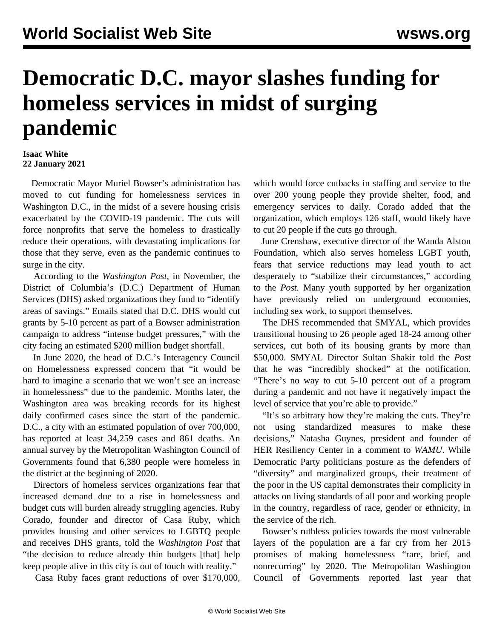## **Democratic D.C. mayor slashes funding for homeless services in midst of surging pandemic**

## **Isaac White 22 January 2021**

 Democratic Mayor Muriel Bowser's administration has moved to cut funding for homelessness services in Washington D.C., in the midst of a severe housing crisis exacerbated by the COVID-19 pandemic. The cuts will force nonprofits that serve the homeless to drastically reduce their operations, with devastating implications for those that they serve, even as the pandemic continues to surge in the city.

 According to the *Washington Post,* in November, the District of Columbia's (D.C.) Department of Human Services (DHS) asked organizations they fund to "identify areas of savings." Emails stated that D.C. DHS would cut grants by 5-10 percent as part of a Bowser administration campaign to address "intense budget pressures," with the city facing an estimated \$200 million budget shortfall.

 In June 2020, the head of D.C.'s Interagency Council on Homelessness expressed concern that "it would be hard to imagine a scenario that we won't see an increase in homelessness" due to the pandemic. Months later, the Washington area was breaking records for its highest daily confirmed cases since the start of the pandemic. D.C., a city with an estimated population of over 700,000, has reported at least 34,259 cases and 861 deaths. An annual survey by the Metropolitan Washington Council of Governments found that 6,380 people were homeless in the district at the beginning of 2020.

 Directors of homeless services organizations fear that increased demand due to a rise in homelessness and budget cuts will burden already struggling agencies. Ruby Corado, founder and director of Casa Ruby, which provides housing and other services to LGBTQ people and receives DHS grants, told the *Washington Post* that "the decision to reduce already thin budgets [that] help keep people alive in this city is out of touch with reality."

Casa Ruby faces grant reductions of over \$170,000,

which would force cutbacks in staffing and service to the over 200 young people they provide shelter, food, and emergency services to daily. Corado added that the organization, which employs 126 staff, would likely have to cut 20 people if the cuts go through.

 June Crenshaw, executive director of the Wanda Alston Foundation, which also serves homeless LGBT youth, fears that service reductions may lead youth to act desperately to "stabilize their circumstances," according to the *Post.* Many youth supported by her organization have previously relied on underground economies, including sex work, to support themselves.

 The DHS recommended that SMYAL, which provides transitional housing to 26 people aged 18-24 among other services, cut both of its housing grants by more than \$50,000. SMYAL Director Sultan Shakir told the *Post* that he was "incredibly shocked" at the notification. "There's no way to cut 5-10 percent out of a program during a pandemic and not have it negatively impact the level of service that you're able to provide."

 "It's so arbitrary how they're making the cuts. They're not using standardized measures to make these decisions," Natasha Guynes, president and founder of HER Resiliency Center in a comment to *WAMU*. While Democratic Party politicians posture as the defenders of "diversity" and marginalized groups, their treatment of the poor in the US capital demonstrates their complicity in attacks on living standards of all poor and working people in the country, regardless of race, gender or ethnicity, in the service of the rich.

 Bowser's ruthless policies towards the most vulnerable layers of the population are a far cry from her 2015 promises of making homelessness "rare, brief, and nonrecurring" by 2020. The Metropolitan Washington Council of Governments reported last year that